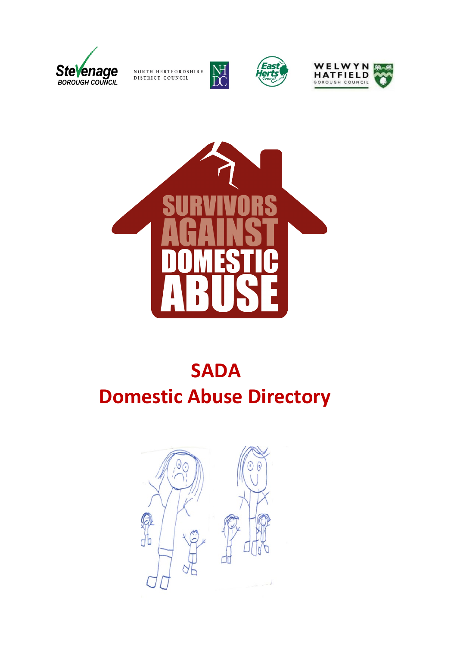

NORTH HERTFORDSHIRE DISTRICT COUNCIL



 $M_{DC}$ 





# **SADA Domestic Abuse Directory**

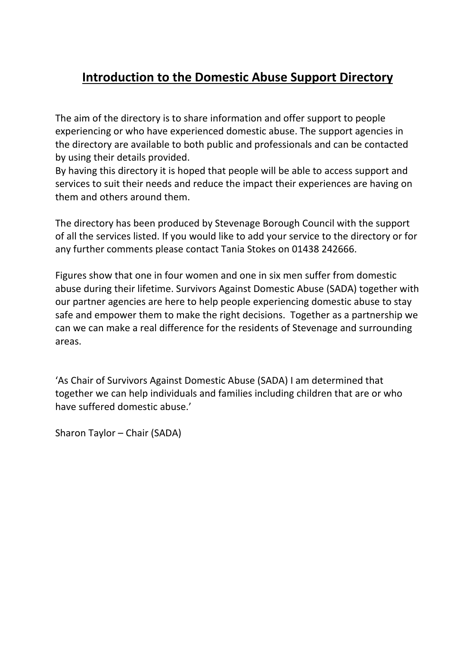## **Introduction to the Domestic Abuse Support Directory**

The aim of the directory is to share information and offer support to people experiencing or who have experienced domestic abuse. The support agencies in the directory are available to both public and professionals and can be contacted by using their details provided.

By having this directory it is hoped that people will be able to access support and services to suit their needs and reduce the impact their experiences are having on them and others around them.

The directory has been produced by Stevenage Borough Council with the support of all the services listed. If you would like to add your service to the directory or for any further comments please contact Tania Stokes on 01438 242666.

Figures show that one in four women and one in six men suffer from domestic abuse during their lifetime. Survivors Against Domestic Abuse (SADA) together with our partner agencies are here to help people experiencing domestic abuse to stay safe and empower them to make the right decisions. Together as a partnership we can we can make a real difference for the residents of Stevenage and surrounding areas.

'As Chair of Survivors Against Domestic Abuse (SADA) I am determined that together we can help individuals and families including children that are or who have suffered domestic abuse.'

Sharon Taylor – Chair (SADA)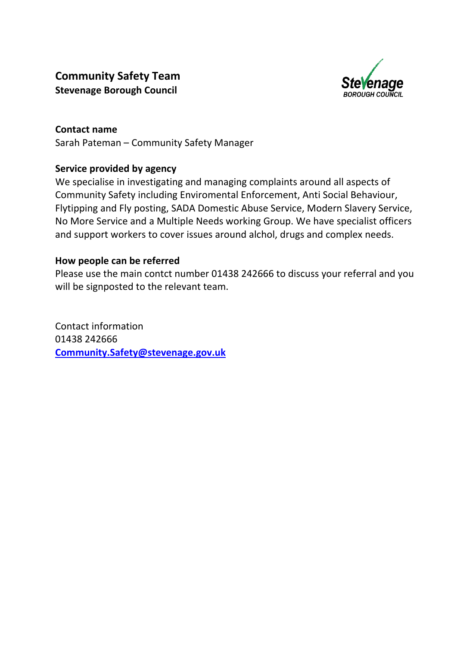### **Community Safety Team Stevenage Borough Council**



**Contact name** Sarah Pateman – Community Safety Manager

### **Service provided by agency**

We specialise in investigating and managing complaints around all aspects of Community Safety including Enviromental Enforcement, Anti Social Behaviour, Flytipping and Fly posting, SADA Domestic Abuse Service, Modern Slavery Service, No More Service and a Multiple Needs working Group. We have specialist officers and support workers to cover issues around alchol, drugs and complex needs.

### **How people can be referred**

Please use the main contct number 01438 242666 to discuss your referral and you will be signposted to the relevant team.

Contact information 01438 242666 **[Community.Safety@stevenage.gov.uk](mailto:Community.Safety@stevenage.gov.uk)**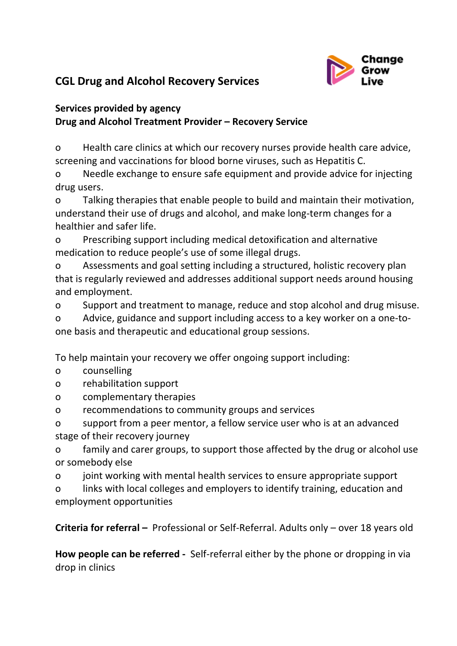

### **CGL Drug and Alcohol Recovery Services**

### **Services provided by agency Drug and Alcohol Treatment Provider – Recovery Service**

o Health care clinics at which our recovery nurses provide health care advice, screening and vaccinations for blood borne viruses, such as Hepatitis C.

o Needle exchange to ensure safe equipment and provide advice for injecting drug users.

o Talking therapies that enable people to build and maintain their motivation, understand their use of drugs and alcohol, and make long-term changes for a healthier and safer life.

o Prescribing support including medical detoxification and alternative medication to reduce people's use of some illegal drugs.

o Assessments and goal setting including a structured, holistic recovery plan that is regularly reviewed and addresses additional support needs around housing and employment.

o Support and treatment to manage, reduce and stop alcohol and drug misuse.

o Advice, guidance and support including access to a key worker on a one-toone basis and therapeutic and educational group sessions.

To help maintain your recovery we offer ongoing support including:

- o counselling
- o rehabilitation support
- o complementary therapies
- o recommendations to community groups and services

o support from a peer mentor, a fellow service user who is at an advanced stage of their recovery journey

o family and carer groups, to support those affected by the drug or alcohol use or somebody else

o joint working with mental health services to ensure appropriate support

o links with local colleges and employers to identify training, education and employment opportunities

**Criteria for referral –** Professional or Self-Referral. Adults only – over 18 years old

**How people can be referred -** Self-referral either by the phone or dropping in via drop in clinics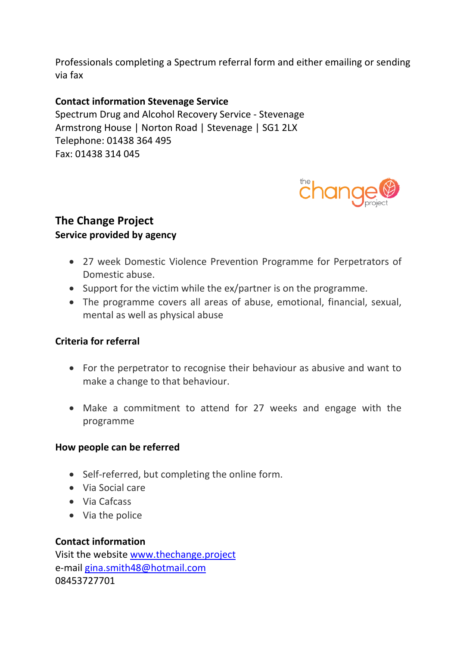Professionals completing a Spectrum referral form and either emailing or sending via fax

### **Contact information Stevenage Service**

Spectrum Drug and Alcohol Recovery Service - Stevenage Armstrong House | Norton Road | Stevenage | SG1 2LX Telephone: 01438 364 495 Fax: 01438 314 045



### **The Change Project Service provided by agency**

- 27 week Domestic Violence Prevention Programme for Perpetrators of Domestic abuse.
- Support for the victim while the ex/partner is on the programme.
- The programme covers all areas of abuse, emotional, financial, sexual, mental as well as physical abuse

### **Criteria for referral**

- For the perpetrator to recognise their behaviour as abusive and want to make a change to that behaviour.
- Make a commitment to attend for 27 weeks and engage with the programme

#### **How people can be referred**

- Self-referred, but completing the online form.
- Via Social care
- Via Cafcass
- Via the police

#### **Contact information**

Visit the website [www.thechange.project](http://www.thechange.project/)  e-mail [gina.smith48@hotmail.com](mailto:gina.smith48@hotmail.com) 08453727701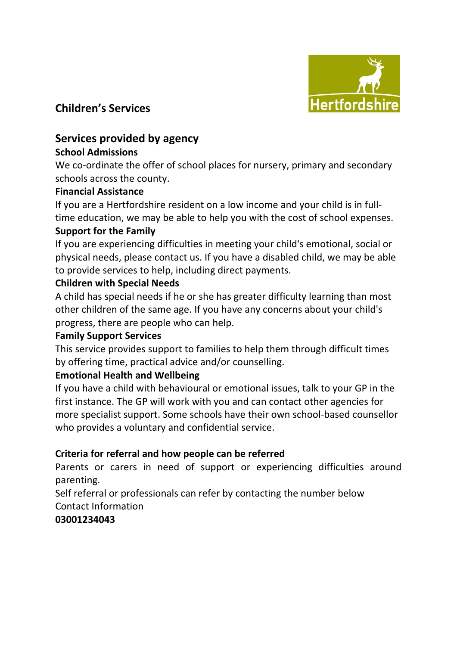

### **Children's Services**

### **Services provided by agency**

### **School Admissions**

We co-ordinate the offer of school places for nursery, primary and secondary schools across the county.

### **Financial Assistance**

If you are a Hertfordshire resident on a low income and your child is in fulltime education, we may be able to help you with the cost of school expenses. **Support for the Family**

If you are experiencing difficulties in meeting your child's emotional, social or physical needs, please contact us. If you have a disabled child, we may be able to provide services to help, including direct payments.

### **Children with Special Needs**

A child has special needs if he or she has greater difficulty learning than most other children of the same age. If you have any concerns about your child's progress, there are people who can help.

### **Family Support Services**

This service provides support to families to help them through difficult times by offering time, practical advice and/or counselling.

### **Emotional Health and Wellbeing**

If you have a child with behavioural or emotional issues, talk to your GP in the first instance. The GP will work with you and can contact other agencies for more specialist support. Some schools have their own school-based counsellor who provides a voluntary and confidential service.

### **Criteria for referral and how people can be referred**

Parents or carers in need of support or experiencing difficulties around parenting.

Self referral or professionals can refer by contacting the number below Contact Information

### **03001234043**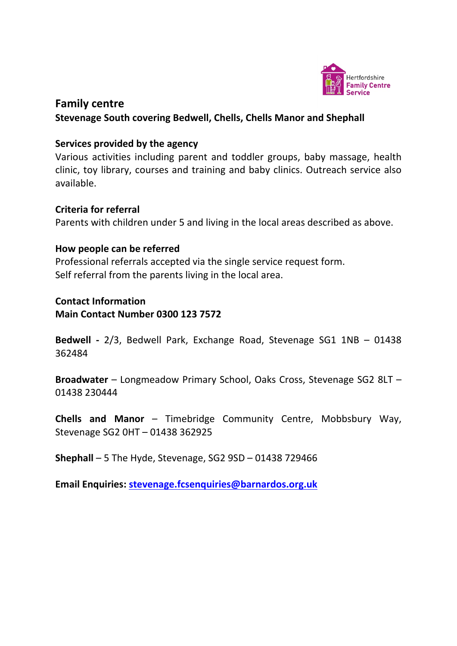

### **Family centre**

#### **Stevenage South covering Bedwell, Chells, Chells Manor and Shephall**

#### **Services provided by the agency**

Various activities including parent and toddler groups, baby massage, health clinic, toy library, courses and training and baby clinics. Outreach service also available.

#### **Criteria for referral**

Parents with children under 5 and living in the local areas described as above.

#### **How people can be referred**

Professional referrals accepted via the single service request form. Self referral from the parents living in the local area.

#### **Contact Information Main Contact Number 0300 123 7572**

**Bedwell -** 2/3, Bedwell Park, Exchange Road, Stevenage SG1 1NB – 01438 362484

**[Broadwater](http://www.stevenagesouthchildrenscentres.org.uk/broadwater-childrens-centre/)** – Longmeadow Primary School, Oaks Cross, Stevenage SG2 8LT – 01438 230444

**[Chells and Manor](http://www.stevenagesouthchildrenscentres.org.uk/chells-and-manor-childrens-centre/)** – Timebridge Community Centre, Mobbsbury Way, Stevenage SG2 0HT – 01438 362925

**[Shephall](http://www.stevenagesouthchildrenscentres.org.uk/shephall-childrens-centre/)** – 5 The Hyde, Stevenage, SG2 9SD – 01438 729466

**Email Enquiries: [stevenage.fcsenquiries@barnardos.org.uk](mailto:stevenage.fcsenquiries@barnardos.org.uk)**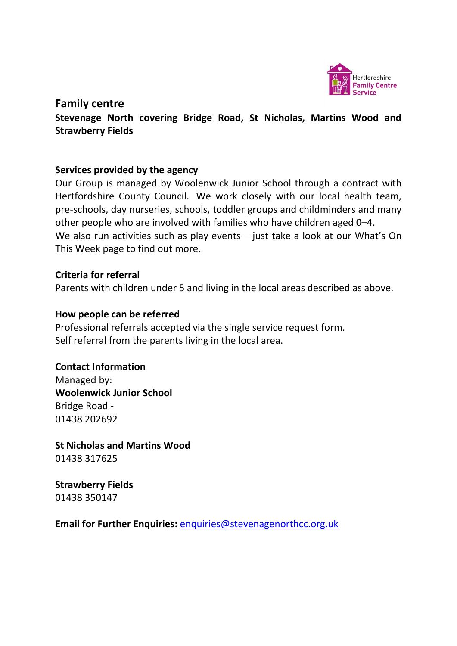

### **Family centre**

**Stevenage North covering Bridge Road, St Nicholas, Martins Wood and Strawberry Fields**

### **Services provided by the agency**

Our Group is managed by Woolenwick Junior School through a contract with Hertfordshire County Council. We work closely with our local health team, pre-schools, day nurseries, schools, toddler groups and childminders and many other people who are involved with families who have children aged 0–4. We also run activities such as play events – just take a look at our What's On [This Week](http://www.stevenagenorthcc.org.uk/about-us/whats-on-this-week/) page to find out more.

#### **Criteria for referral**

Parents with children under 5 and living in the local areas described as above.

#### **How people can be referred**

Professional referrals accepted via the single service request form. Self referral from the parents living in the local area.

### **Contact Information**

Managed by: **Woolenwick Junior School** Bridge Road - 01438 202692

**St Nicholas and Martins Wood** 01438 317625

**Strawberry Fields** 01438 350147

**Email for Further Enquiries:** [enquiries@stevenagenorthcc.org.uk](mailto:enquiries@stevenagenorthcc.org.uk)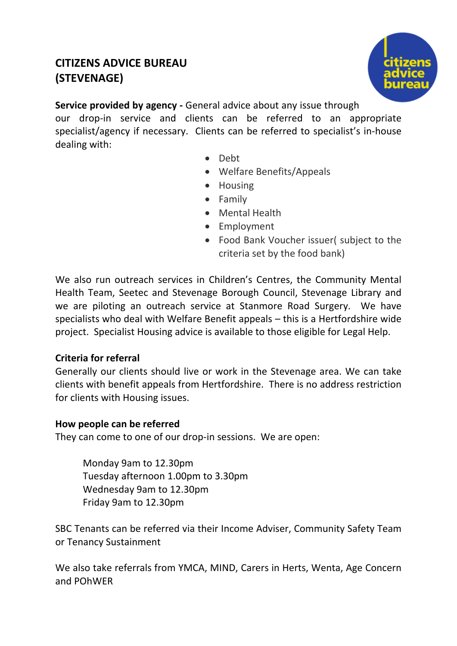### **CITIZENS ADVICE BUREAU (STEVENAGE)**



**Service provided by agency -** General advice about any issue through our drop-in service and clients can be referred to an appropriate specialist/agency if necessary. Clients can be referred to specialist's in-house dealing with:

- Debt
- Welfare Benefits/Appeals
- Housing
- Family
- Mental Health
- Employment
- Food Bank Voucher issuer( subject to the criteria set by the food bank)

We also run outreach services in Children's Centres, the Community Mental Health Team, Seetec and Stevenage Borough Council, Stevenage Library and we are piloting an outreach service at Stanmore Road Surgery. We have specialists who deal with Welfare Benefit appeals – this is a Hertfordshire wide project. Specialist Housing advice is available to those eligible for Legal Help.

### **Criteria for referral**

Generally our clients should live or work in the Stevenage area. We can take clients with benefit appeals from Hertfordshire. There is no address restriction for clients with Housing issues.

### **How people can be referred**

They can come to one of our drop-in sessions. We are open:

Monday 9am to 12.30pm Tuesday afternoon 1.00pm to 3.30pm Wednesday 9am to 12.30pm Friday 9am to 12.30pm

SBC Tenants can be referred via their Income Adviser, Community Safety Team or Tenancy Sustainment

We also take referrals from YMCA, MIND, Carers in Herts, Wenta, Age Concern and POhWER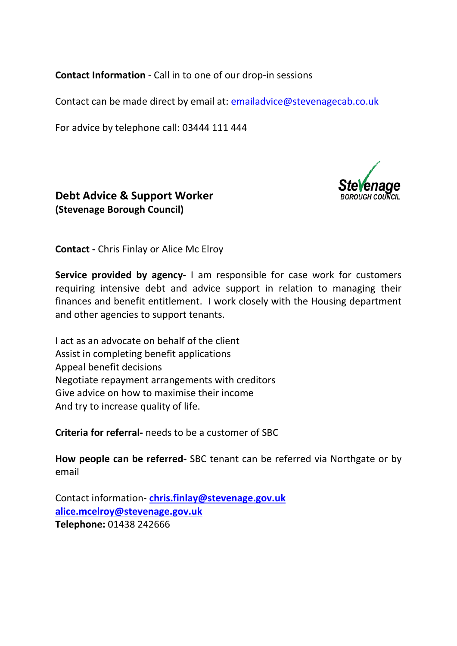**Contact Information** - Call in to one of our drop-in sessions

Contact can be made direct by email at: [emailadvice@stevenagecab.co.uk](mailto:emailadvice@stevenagecab.co.uk)

For advice by telephone call: 03444 111 444



### **Debt Advice & Support Worker (Stevenage Borough Council)**

**Contact -** Chris Finlay or Alice Mc Elroy

**Service provided by agency-** I am responsible for case work for customers requiring intensive debt and advice support in relation to managing their finances and benefit entitlement. I work closely with the Housing department and other agencies to support tenants.

I act as an advocate on behalf of the client Assist in completing benefit applications Appeal benefit decisions Negotiate repayment arrangements with creditors Give advice on how to maximise their income And try to increase quality of life.

**Criteria for referral-** needs to be a customer of SBC

**How people can be referred-** SBC tenant can be referred via Northgate or by email

Contact information- **[chris.finlay@stevenage.gov.uk](mailto:chris.finlay@stevenage.gov.uk) alice.mcelroy@stevenage.gov.uk Telephone:** 01438 242666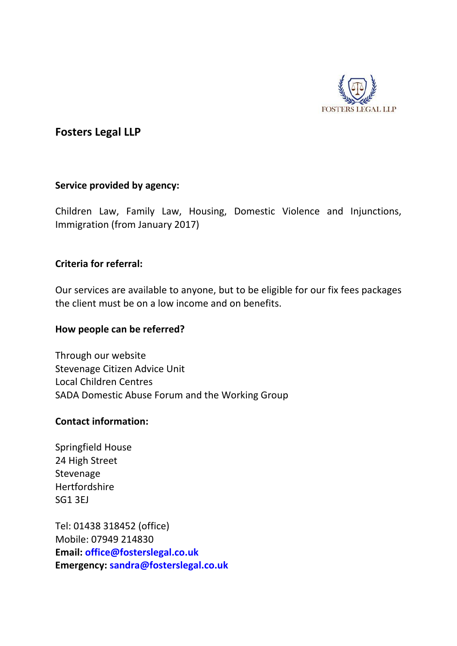

### **Fosters Legal LLP**

#### **Service provided by agency:**

Children Law, Family Law, Housing, Domestic Violence and Injunctions, Immigration (from January 2017)

### **Criteria for referral:**

Our services are available to anyone, but to be eligible for our fix fees packages the client must be on a low income and on benefits.

#### **How people can be referred?**

Through our website Stevenage Citizen Advice Unit Local Children Centres SADA Domestic Abuse Forum and the Working Group

#### **Contact information:**

Springfield House 24 High Street Stevenage **Hertfordshire** SG1 3EJ

Tel: 01438 318452 (office) Mobile: 07949 214830 **Email: [office@fosterslegal.co.uk](mailto:office@fosterslegal.co.uk) Emergency: [sandra@fosterslegal.co.uk](mailto:sandra@fosterslegal.co.uk)**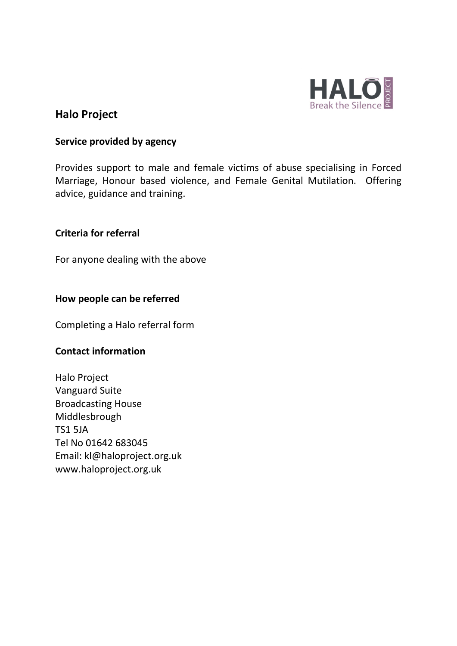

### **Halo Project**

#### **Service provided by agency**

Provides support to male and female victims of abuse specialising in Forced Marriage, Honour based violence, and Female Genital Mutilation. Offering advice, guidance and training.

#### **Criteria for referral**

For anyone dealing with the above

#### **How people can be referred**

Completing a Halo referral form

### **Contact information**

Halo Project Vanguard Suite Broadcasting House Middlesbrough TS1 5JA Tel No 01642 683045 Email: kl@haloproject.org.uk www.haloproject.org.uk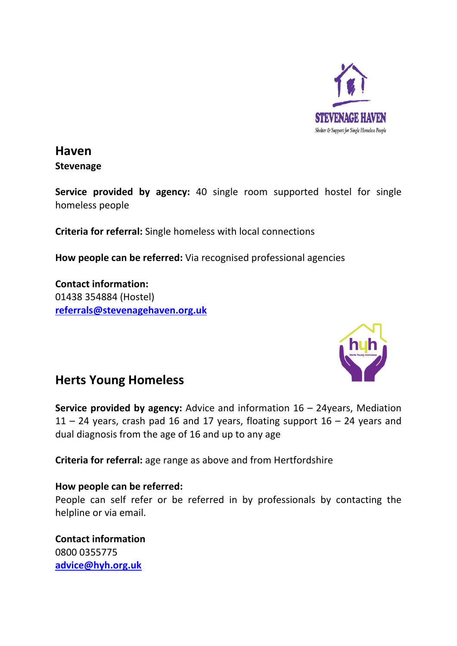

### **Haven Stevenage**

**Service provided by agency:** 40 single room supported hostel for single homeless people

**Criteria for referral:** Single homeless with local connections

**How people can be referred:** Via recognised professional agencies

**Contact information:** 01438 354884 (Hostel) **[referrals@stevenagehaven.org.uk](mailto:referrals@stevenagehaven.org.uk)**



### **Herts Young Homeless**

**Service provided by agency:** Advice and information 16 – 24years, Mediation  $11 - 24$  years, crash pad 16 and 17 years, floating support  $16 - 24$  years and dual diagnosis from the age of 16 and up to any age

**Criteria for referral:** age range as above and from Hertfordshire

#### **How people can be referred:**

People can self refer or be referred in by professionals by contacting the helpline or via email.

**Contact information** 0800 0355775 **[advice@hyh.org.uk](mailto:advice@hyh.org.uk)**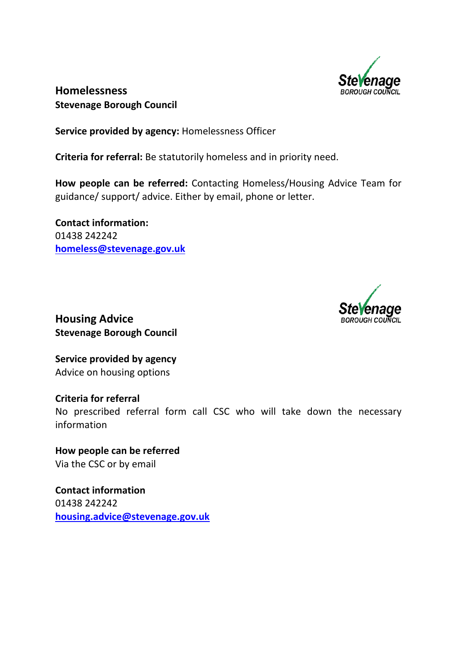

### **Homelessness Stevenage Borough Council**

**Service provided by agency:** Homelessness Officer

**Criteria for referral:** Be statutorily homeless and in priority need.

**How people can be referred:** Contacting Homeless/Housing Advice Team for guidance/ support/ advice. Either by email, phone or letter.

**Contact information:**  01438 242242 **[homeless@stevenage.gov.uk](mailto:homeless@stevenage.gov.uk)**



**Housing Advice Stevenage Borough Council**

**Service provided by agency** Advice on housing options

**Criteria for referral** No prescribed referral form call CSC who will take down the necessary information

**How people can be referred** Via the CSC or by email

**Contact information** 01438 242242 **[housing.advice@stevenage.gov.uk](mailto:housing.advice@stevenage.gov.uk)**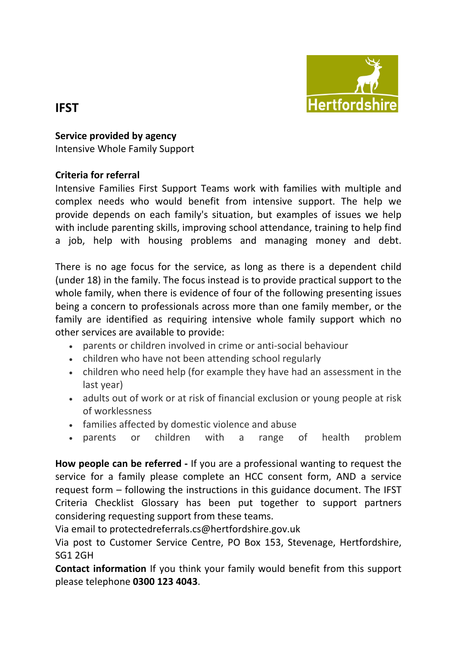

### **IFST**

**Service provided by agency**

Intensive Whole Family Support

### **Criteria for referral**

Intensive Families First Support Teams work with families with multiple and complex needs who would benefit from intensive support. The help we provide depends on each family's situation, but examples of issues we help with include parenting skills, improving school attendance, training to help find a job, help with housing problems and managing money and debt.

There is no age focus for the service, as long as there is a dependent child (under 18) in the family. The focus instead is to provide practical support to the whole family, when there is evidence of four of the following presenting issues being a concern to professionals across more than one family member, or the family are identified as requiring intensive whole family support which no other services are available to provide:

- parents or children involved in crime or anti-social behaviour
- children who have not been attending school regularly
- children who need help (for example they have had an assessment in the last year)
- adults out of work or at risk of financial exclusion or young people at risk of worklessness
- families affected by domestic violence and abuse
- parents or children with a range of health problem

**How people can be referred -** If you are a professional wanting to request the service for a family please complete an HCC consent form, AND a service request form – following the instructions in this guidance document. The IFST Criteria Checklist Glossary has been put together to support partners considering requesting support from these teams.

Via email to protectedreferrals.cs@hertfordshire.gov.uk

Via post to Customer Service Centre, PO Box 153, Stevenage, Hertfordshire, SG1 2GH

**Contact information** If you think your family would benefit from this support please telephone **0300 123 4043**.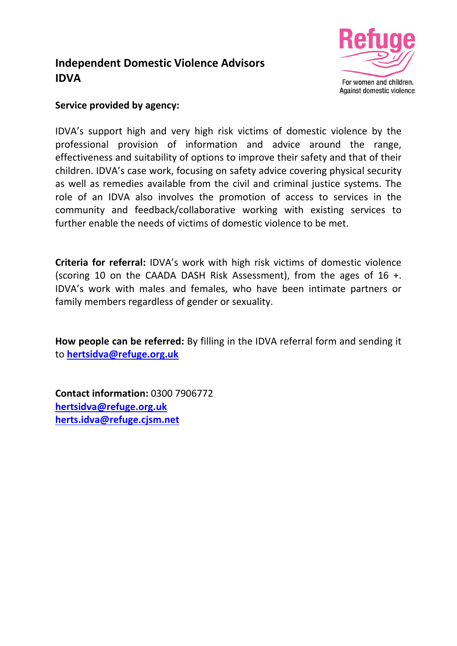### **Independent Domestic Violence Advisors IDVA**



### **Service provided by agency:**

IDVA's support high and very high risk victims of domestic violence by the professional provision of information and advice around the range, effectiveness and suitability of options to improve their safety and that of their children. IDVA's case work, focusing on safety advice covering physical security as well as remedies available from the civil and criminal justice systems. The role of an IDVA also involves the promotion of access to services in the community and feedback/collaborative working with existing services to further enable the needs of victims of domestic violence to be met.

**Criteria for referral:** IDVA's work with high risk victims of domestic violence (scoring 10 on the CAADA DASH Risk Assessment), from the ages of 16 +. IDVA's work with males and females, who have been intimate partners or family members regardless of gender or sexuality.

**How people can be referred:** By filling in the IDVA referral form and sending it to **[hertsidva@refuge.org.uk](mailto:hertsidva@refuge.org.uk)**

**Contact information:** 0300 7906772 **[hertsidva@refuge.org.uk](mailto:hertsidva@refuge.org.uk) [herts.idva@refuge.cjsm.net](mailto:herts.idva@refuge.cjsm.net)**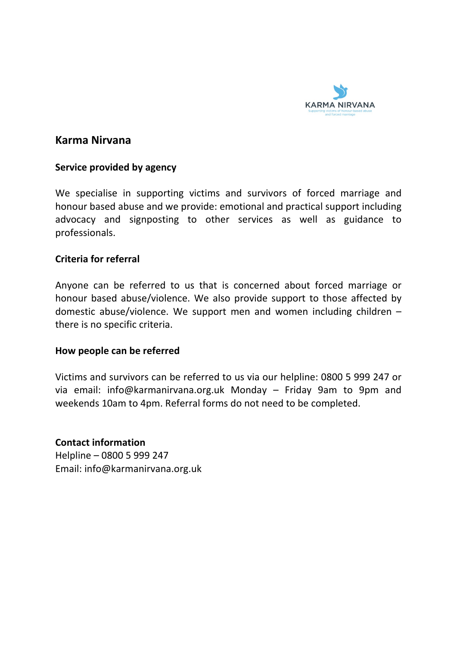

### **Karma Nirvana**

#### **Service provided by agency**

We specialise in supporting victims and survivors of forced marriage and honour based abuse and we provide: emotional and practical support including advocacy and signposting to other services as well as guidance to professionals.

#### **Criteria for referral**

Anyone can be referred to us that is concerned about forced marriage or honour based abuse/violence. We also provide support to those affected by domestic abuse/violence. We support men and women including children – there is no specific criteria.

#### **How people can be referred**

Victims and survivors can be referred to us via our helpline: 0800 5 999 247 or via email: info@karmanirvana.org.uk Monday – Friday 9am to 9pm and weekends 10am to 4pm. Referral forms do not need to be completed.

**Contact information**  Helpline – 0800 5 999 247 Email: info@karmanirvana.org.uk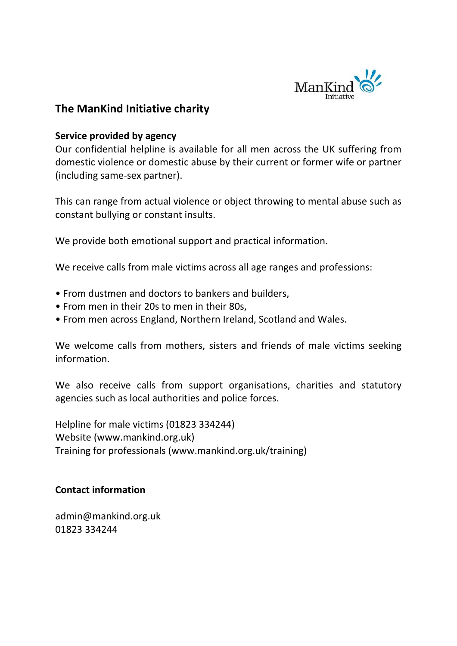

### **The ManKind Initiative charity**

#### **Service provided by agency**

Our confidential helpline is available for all men across the UK suffering from domestic violence or domestic abuse by their current or former wife or partner (including same-sex partner).

This can range from actual violence or object throwing to mental abuse such as constant bullying or constant insults.

We provide both emotional support and practical information.

We receive calls from male victims across all age ranges and professions:

- From dustmen and doctors to bankers and builders,
- From men in their 20s to men in their 80s,
- From men across England, Northern Ireland, Scotland and Wales.

We welcome calls from mothers, sisters and friends of male victims seeking information.

We also receive calls from support organisations, charities and statutory agencies such as local authorities and police forces.

Helpline for male victims (01823 334244) Website (www.mankind.org.uk) Training for professionals (www.mankind.org.uk/training)

### **Contact information**

admin@mankind.org.uk 01823 334244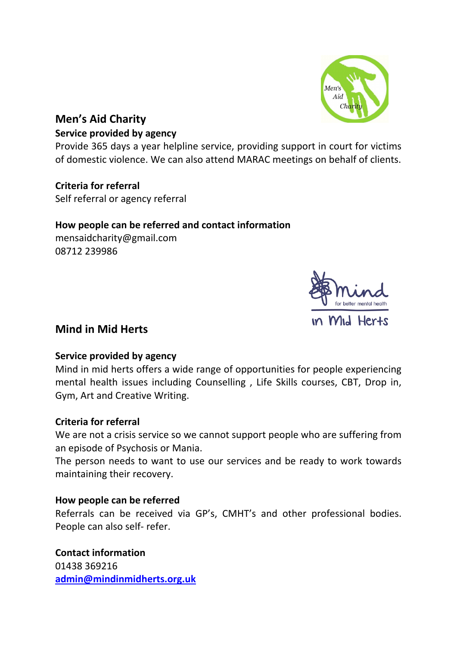

### **Men's Aid Charity**

#### **Service provided by agency**

Provide 365 days a year helpline service, providing support in court for victims of domestic violence. We can also attend MARAC meetings on behalf of clients.

**Criteria for referral** Self referral or agency referral

### **How people can be referred and contact information**

mensaidcharity@gmail.com 08712 239986



### **Mind in Mid Herts**

### **Service provided by agency**

Mind in mid herts offers a wide range of opportunities for people experiencing mental health issues including Counselling , Life Skills courses, CBT, Drop in, Gym, Art and Creative Writing.

### **Criteria for referral**

We are not a crisis service so we cannot support people who are suffering from an episode of Psychosis or Mania.

The person needs to want to use our services and be ready to work towards maintaining their recovery.

### **How people can be referred**

Referrals can be received via GP's, CMHT's and other professional bodies. People can also self- refer.

**Contact information** 01438 369216 **[admin@mindinmidherts.org.uk](mailto:admin@mindinmidherts.org.uk)**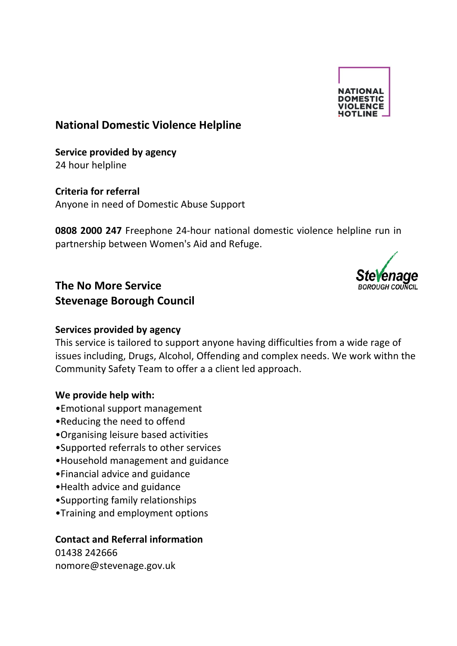

### **National Domestic Violence Helpline**

**Service provided by agency** 24 hour helpline

**Criteria for referral** Anyone in need of Domestic Abuse Support

**0808 2000 247** Freephone 24-hour national domestic violence helpline run in partnership between Women's Aid and Refuge.



### **The No More Service Stevenage Borough Council**

### **Services provided by agency**

This service is tailored to support anyone having difficulties from a wide rage of issues including, Drugs, Alcohol, Offending and complex needs. We work withn the Community Safety Team to offer a a client led approach.

### **We provide help with:**

- •Emotional support management
- •Reducing the need to offend
- •Organising leisure based activities
- •Supported referrals to other services
- •Household management and guidance
- •Financial advice and guidance
- •Health advice and guidance
- •Supporting family relationships
- •Training and employment options

### **Contact and Referral information**

01438 242666 nomore@stevenage.gov.uk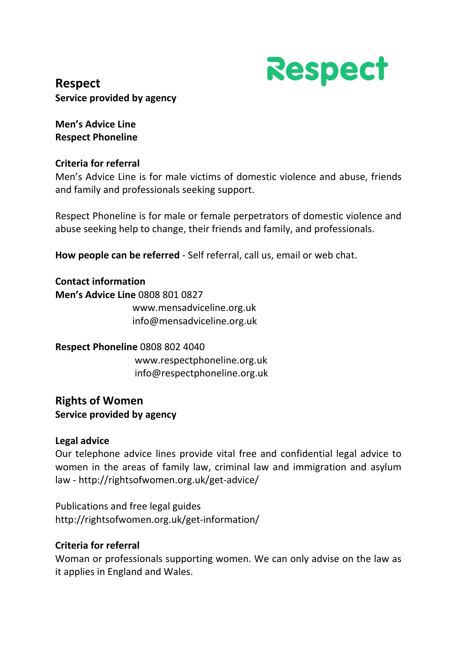

**Respect Service provided by agency**

**Men's Advice Line Respect Phoneline**

### **Criteria for referral**

Men's Advice Line is for male victims of domestic violence and abuse, friends and family and professionals seeking support.

Respect Phoneline is for male or female perpetrators of domestic violence and abuse seeking help to change, their friends and family, and professionals.

**How people can be referred** - Self referral, call us, email or web chat.

**Contact information Men's Advice Line** 0808 801 0827 www.mensadviceline.org.uk info@mensadviceline.org.uk

**Respect Phoneline** 0808 802 4040 www.respectphoneline.org.uk info@respectphoneline.org.uk

### **Rights of Women Service provided by agency**

### **Legal advice**

Our telephone advice lines provide vital free and confidential legal advice to women in the areas of family law, criminal law and immigration and asylum law - http://rightsofwomen.org.uk/get-advice/

Publications and free legal guides http://rightsofwomen.org.uk/get-information/

### **Criteria for referral**

Woman or professionals supporting women. We can only advise on the law as it applies in England and Wales.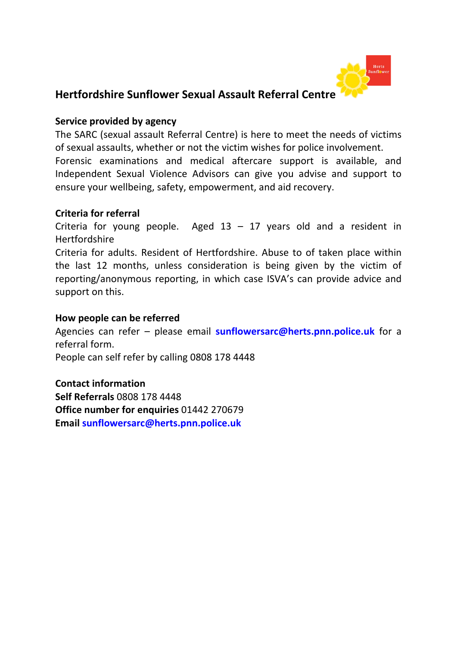

### **Hertfordshire Sunflower Sexual Assault Referral Centre**

### **Service provided by agency**

The SARC (sexual assault Referral Centre) is here to meet the needs of victims of sexual assaults, whether or not the victim wishes for police involvement. Forensic examinations and medical aftercare support is available, and Independent Sexual Violence Advisors can give you advise and support to ensure your wellbeing, safety, empowerment, and aid recovery.

### **Criteria for referral**

Criteria for young people. Aged  $13 - 17$  years old and a resident in Hertfordshire

Criteria for adults. Resident of Hertfordshire. Abuse to of taken place within the last 12 months, unless consideration is being given by the victim of reporting/anonymous reporting, in which case ISVA's can provide advice and support on this.

#### **How people can be referred**

Agencies can refer – please email **[sunflowersarc@herts.pnn.police.uk](mailto:sunflowersarc@herts.pnn.police.uk)** for a referral form. People can self refer by calling 0808 178 4448

**Contact information Self Referrals** 0808 178 4448 **Office number for enquiries** 01442 270679 **Email [sunflowersarc@herts.pnn.police.uk](mailto:sunflowersarc@herts.pnn.police.uk)**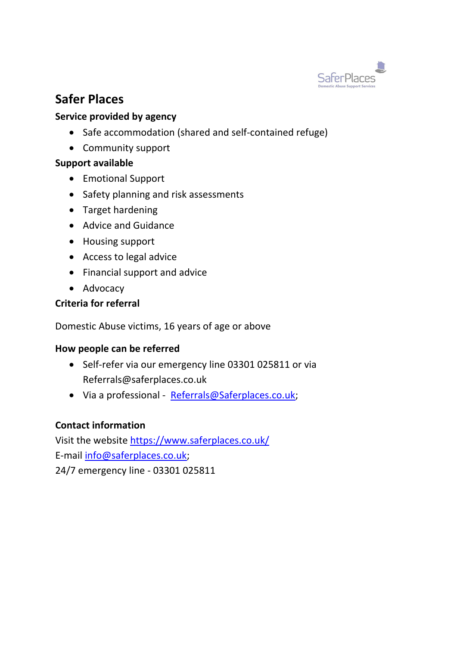

### **Safer Places**

### **Service provided by agency**

- Safe accommodation (shared and self-contained refuge)
- Community support

### **Support available**

- Emotional Support
- Safety planning and risk assessments
- Target hardening
- Advice and Guidance
- Housing support
- Access to legal advice
- Financial support and advice
- Advocacy

### **Criteria for referral**

Domestic Abuse victims, 16 years of age or above

### **How people can be referred**

- Self-refer via our emergency line 03301 025811 or via Referrals@saferplaces.co.uk
- Via a professional [Referrals@Saferplaces.co.uk;](mailto:Referrals@Saferplaces.co.uk)

### **Contact information**

Visit the website<https://www.saferplaces.co.uk/> E-mail [info@saferplaces.co.uk;](mailto:info@saferplaces.co.uk) 24/7 emergency line - 03301 025811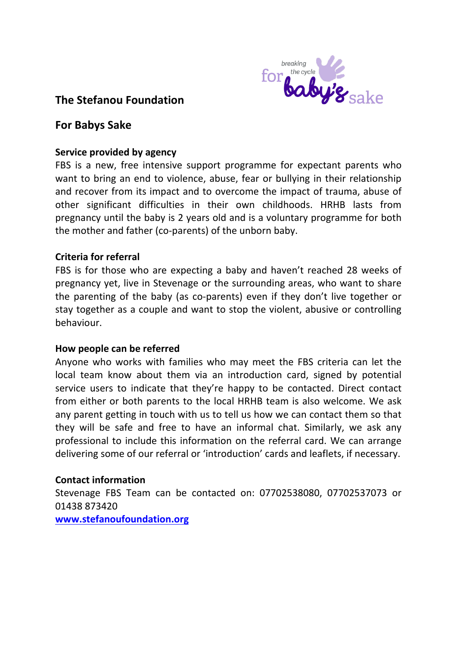

### **The Stefanou Foundation**

### **For Babys Sake**

### **Service provided by agency**

FBS is a new, free intensive support programme for expectant parents who want to bring an end to violence, abuse, fear or bullying in their relationship and recover from its impact and to overcome the impact of trauma, abuse of other significant difficulties in their own childhoods. HRHB lasts from pregnancy until the baby is 2 years old and is a voluntary programme for both the mother and father (co-parents) of the unborn baby.

### **Criteria for referral**

FBS is for those who are expecting a baby and haven't reached 28 weeks of pregnancy yet, live in Stevenage or the surrounding areas, who want to share the parenting of the baby (as co-parents) even if they don't live together or stay together as a couple and want to stop the violent, abusive or controlling behaviour.

### **How people can be referred**

Anyone who works with families who may meet the FBS criteria can let the local team know about them via an introduction card, signed by potential service users to indicate that they're happy to be contacted. Direct contact from either or both parents to the local HRHB team is also welcome. We ask any parent getting in touch with us to tell us how we can contact them so that they will be safe and free to have an informal chat. Similarly, we ask any professional to include this information on the referral card. We can arrange delivering some of our referral or 'introduction' cards and leaflets, if necessary.

### **Contact information**

Stevenage FBS Team can be contacted on: 07702538080, 07702537073 or 01438 873420 **[www.stefanoufoundation.org](http://www.stefanoufoundation.org/)**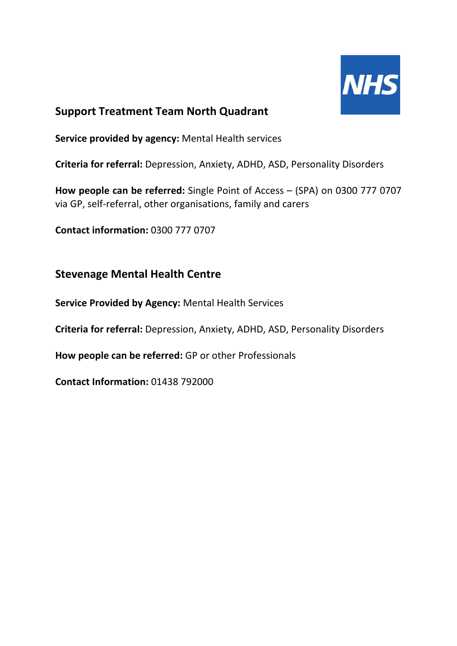

### **Support Treatment Team North Quadrant**

**Service provided by agency:** Mental Health services

**Criteria for referral:** Depression, Anxiety, ADHD, ASD, Personality Disorders

**How people can be referred:** Single Point of Access – (SPA) on 0300 777 0707 via GP, self-referral, other organisations, family and carers

**Contact information:** 0300 777 0707

### **Stevenage Mental Health Centre**

**Service Provided by Agency:** Mental Health Services

**Criteria for referral:** Depression, Anxiety, ADHD, ASD, Personality Disorders

**How people can be referred:** GP or other Professionals

**Contact Information:** 01438 792000